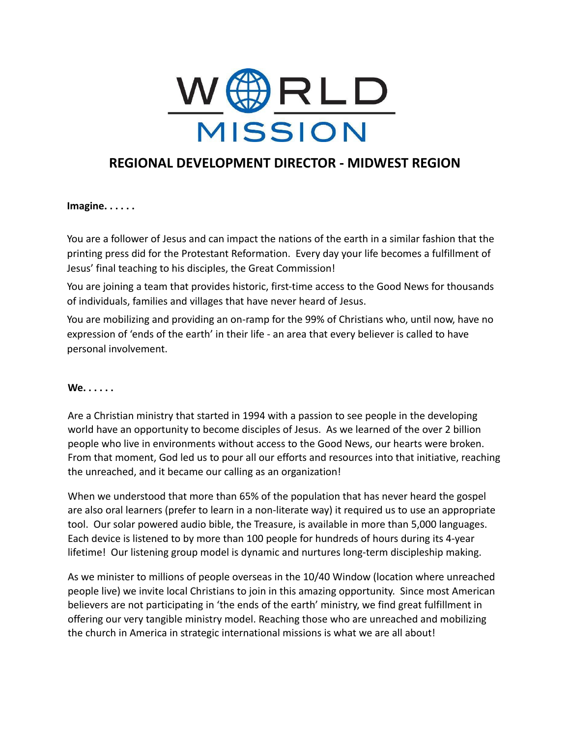

# **REGIONAL DEVELOPMENT DIRECTOR - MIDWEST REGION**

**Imagine. . . . . .**

You are a follower of Jesus and can impact the nations of the earth in a similar fashion that the printing press did for the Protestant Reformation. Every day your life becomes a fulfillment of Jesus' final teaching to his disciples, the Great Commission!

You are joining a team that provides historic, first-time access to the Good News for thousands of individuals, families and villages that have never heard of Jesus.

You are mobilizing and providing an on-ramp for the 99% of Christians who, until now, have no expression of 'ends of the earth' in their life - an area that every believer is called to have personal involvement.

#### **We. . . . . .**

Are a Christian ministry that started in 1994 with a passion to see people in the developing world have an opportunity to become disciples of Jesus. As we learned of the over 2 billion people who live in environments without access to the Good News, our hearts were broken. From that moment, God led us to pour all our efforts and resources into that initiative, reaching the unreached, and it became our calling as an organization!

When we understood that more than 65% of the population that has never heard the gospel are also oral learners (prefer to learn in a non-literate way) it required us to use an appropriate tool. Our solar powered audio bible, the Treasure, is available in more than 5,000 languages. Each device is listened to by more than 100 people for hundreds of hours during its 4-year lifetime! Our listening group model is dynamic and nurtures long-term discipleship making.

As we minister to millions of people overseas in the 10/40 Window (location where unreached people live) we invite local Christians to join in this amazing opportunity. Since most American believers are not participating in 'the ends of the earth' ministry, we find great fulfillment in offering our very tangible ministry model. Reaching those who are unreached and mobilizing the church in America in strategic international missions is what we are all about!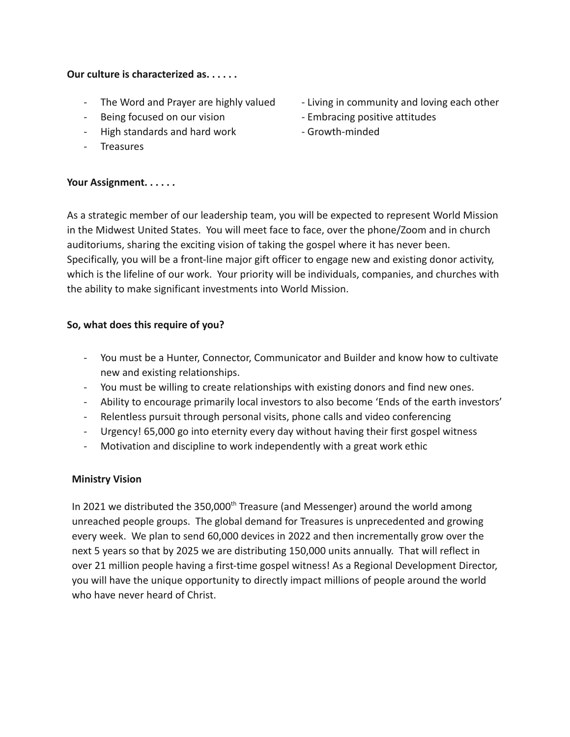### **Our culture is characterized as. . . . . .**

- 
- Being focused on our vision **Face Communist Constructs** Embracing positive attitudes
- High standards and hard work Growth-minded
- Treasures

## **Your Assignment. . . . . .**

- The Word and Prayer are highly valued Living in community and loving each other
	-
	-

As a strategic member of our leadership team, you will be expected to represent World Mission in the Midwest United States. You will meet face to face, over the phone/Zoom and in church auditoriums, sharing the exciting vision of taking the gospel where it has never been. Specifically, you will be a front-line major gift officer to engage new and existing donor activity, which is the lifeline of our work. Your priority will be individuals, companies, and churches with the ability to make significant investments into World Mission.

# **So, what does this require of you?**

- You must be a Hunter, Connector, Communicator and Builder and know how to cultivate new and existing relationships.
- You must be willing to create relationships with existing donors and find new ones.
- Ability to encourage primarily local investors to also become 'Ends of the earth investors'
- Relentless pursuit through personal visits, phone calls and video conferencing
- Urgency! 65,000 go into eternity every day without having their first gospel witness
- Motivation and discipline to work independently with a great work ethic

# **Ministry Vision**

In 2021 we distributed the 350,000<sup>th</sup> Treasure (and Messenger) around the world among unreached people groups. The global demand for Treasures is unprecedented and growing every week. We plan to send 60,000 devices in 2022 and then incrementally grow over the next 5 years so that by 2025 we are distributing 150,000 units annually. That will reflect in over 21 million people having a first-time gospel witness! As a Regional Development Director, you will have the unique opportunity to directly impact millions of people around the world who have never heard of Christ.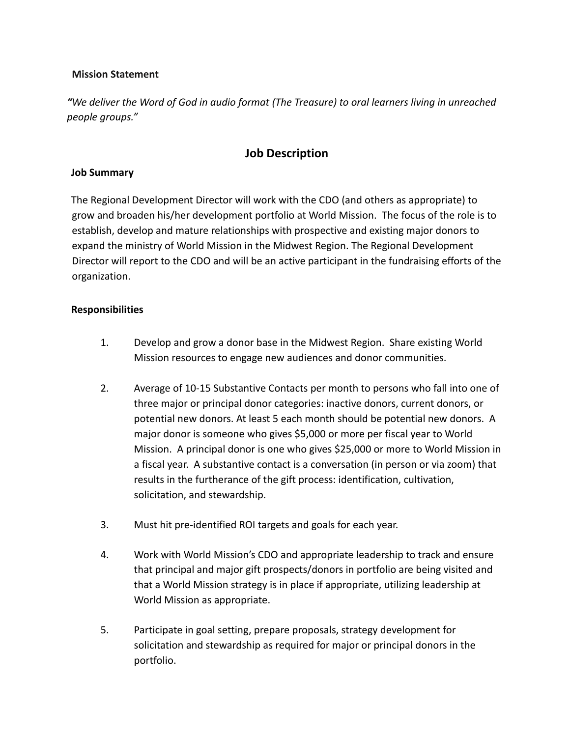## **Mission Statement**

*"We deliver the Word of God in audio format (The Treasure) to oral learners living in unreached people groups."*

# **Job Description**

## **Job Summary**

The Regional Development Director will work with the CDO (and others as appropriate) to grow and broaden his/her development portfolio at World Mission. The focus of the role is to establish, develop and mature relationships with prospective and existing major donors to expand the ministry of World Mission in the Midwest Region. The Regional Development Director will report to the CDO and will be an active participant in the fundraising efforts of the organization.

### **Responsibilities**

- 1. Develop and grow a donor base in the Midwest Region. Share existing World Mission resources to engage new audiences and donor communities.
- 2. Average of 10-15 Substantive Contacts per month to persons who fall into one of three major or principal donor categories: inactive donors, current donors, or potential new donors. At least 5 each month should be potential new donors. A major donor is someone who gives \$5,000 or more per fiscal year to World Mission. A principal donor is one who gives \$25,000 or more to World Mission in a fiscal year. A substantive contact is a conversation (in person or via zoom) that results in the furtherance of the gift process: identification, cultivation, solicitation, and stewardship.
- 3. Must hit pre-identified ROI targets and goals for each year.
- 4. Work with World Mission's CDO and appropriate leadership to track and ensure that principal and major gift prospects/donors in portfolio are being visited and that a World Mission strategy is in place if appropriate, utilizing leadership at World Mission as appropriate.
- 5. Participate in goal setting, prepare proposals, strategy development for solicitation and stewardship as required for major or principal donors in the portfolio.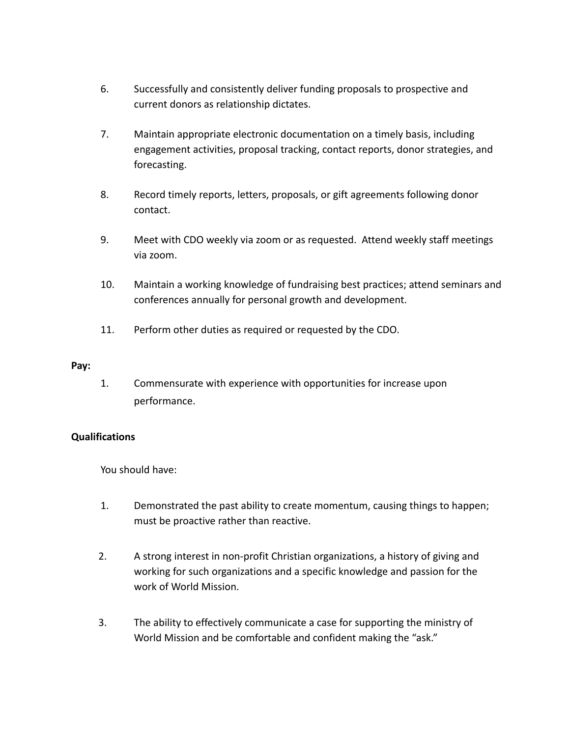- 6. Successfully and consistently deliver funding proposals to prospective and current donors as relationship dictates.
- 7. Maintain appropriate electronic documentation on a timely basis, including engagement activities, proposal tracking, contact reports, donor strategies, and forecasting.
- 8. Record timely reports, letters, proposals, or gift agreements following donor contact.
- 9. Meet with CDO weekly via zoom or as requested. Attend weekly staff meetings via zoom.
- 10. Maintain a working knowledge of fundraising best practices; attend seminars and conferences annually for personal growth and development.
- 11. Perform other duties as required or requested by the CDO.

### **Pay:**

1. Commensurate with experience with opportunities for increase upon performance.

# **Qualifications**

You should have:

- 1. Demonstrated the past ability to create momentum, causing things to happen; must be proactive rather than reactive.
- 2. A strong interest in non-profit Christian organizations, a history of giving and working for such organizations and a specific knowledge and passion for the work of World Mission.
- 3. The ability to effectively communicate a case for supporting the ministry of World Mission and be comfortable and confident making the "ask."